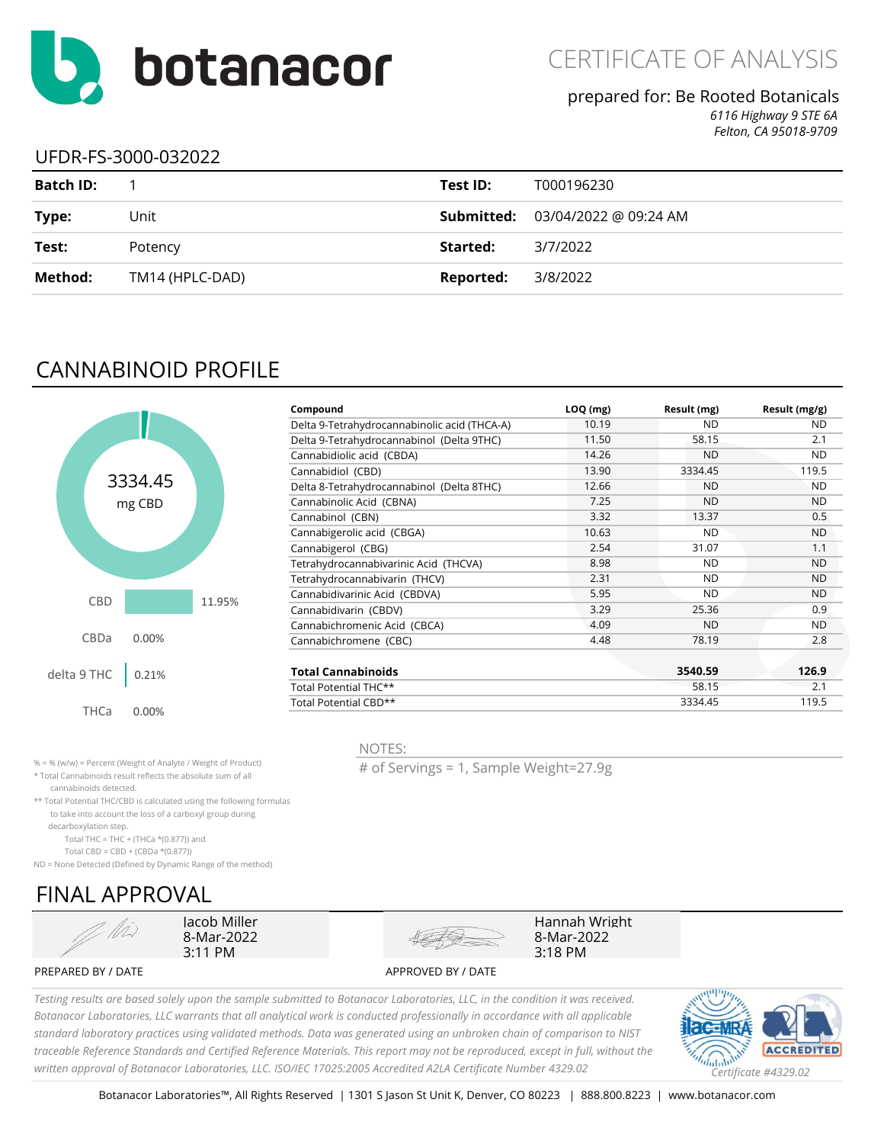

### prepared for: Be Rooted Botanicals

*6116 Highway 9 STE 6A Felton, CA 95018-9709*

### UFDR-FS-3000-032022

| <b>Batch ID:</b> |                 | Test ID:  | T000196230                                                 |
|------------------|-----------------|-----------|------------------------------------------------------------|
| Type:            | Unit            |           | <b>Submitted:</b> $03/04/2022 \text{ @ } 09:24 \text{ AM}$ |
| Test:            | Potency         | Started:  | 3/7/2022                                                   |
| Method:          | TM14 (HPLC-DAD) | Reported: | 3/8/2022                                                   |

### CANNABINOID PROFILE



|                                   |        | Compound                                     | $LOQ$ (mg) | Result (mg) | Result (mg/g) |
|-----------------------------------|--------|----------------------------------------------|------------|-------------|---------------|
|                                   |        | Delta 9-Tetrahydrocannabinolic acid (THCA-A) | 10.19      | <b>ND</b>   | <b>ND</b>     |
|                                   |        | Delta 9-Tetrahydrocannabinol (Delta 9THC)    | 11.50      | 58.15       | 2.1           |
|                                   |        | Cannabidiolic acid (CBDA)                    | 14.26      | <b>ND</b>   | <b>ND</b>     |
|                                   |        | Cannabidiol (CBD)                            | 13.90      | 3334.45     | 119.5         |
| 334.45                            |        | Delta 8-Tetrahydrocannabinol (Delta 8THC)    | 12.66      | <b>ND</b>   | <b>ND</b>     |
| mg CBD                            |        | Cannabinolic Acid (CBNA)                     | 7.25       | <b>ND</b>   | <b>ND</b>     |
|                                   |        | Cannabinol (CBN)                             | 3.32       | 13.37       | 0.5           |
|                                   |        | Cannabigerolic acid (CBGA)                   | 10.63      | <b>ND</b>   | <b>ND</b>     |
|                                   |        | Cannabigerol (CBG)                           | 2.54       | 31.07       | 1.1           |
|                                   |        | Tetrahydrocannabivarinic Acid (THCVA)        | 8.98       | <b>ND</b>   | <b>ND</b>     |
|                                   |        | Tetrahydrocannabivarin (THCV)                | 2.31       | <b>ND</b>   | <b>ND</b>     |
|                                   |        | Cannabidivarinic Acid (CBDVA)                | 5.95       | <b>ND</b>   | ND            |
|                                   | 11.95% | Cannabidivarin (CBDV)                        | 3.29       | 25.36       | 0.9           |
|                                   |        | Cannabichromenic Acid (CBCA)                 | 4.09       | <b>ND</b>   | <b>ND</b>     |
| 0.00%                             |        | Cannabichromene (CBC)                        | 4.48       | 78.19       | 2.8           |
| 0.21%                             |        | <b>Total Cannabinoids</b>                    |            | 3540.59     | 126.9         |
|                                   |        | Total Potential THC**                        |            | 58.15       | 2.1           |
| $\cap$ $\cap$ <sup>0</sup> $\vee$ |        | Total Potential CBD**                        |            | 3334.45     | 119.5         |
|                                   |        |                                              |            |             |               |

% = % (w/w) = Percent (Weight of Analyte / Weight of Product)

\* Total Cannabinoids result reflects the absolute sum of all

cannabinoids detected.

\*\* Total Potential THC/CBD is calculated using the following formulas to take into account the loss of a carboxyl group during

decarboxylation step.

Total THC = THC + (THCa  $*(0.877)$ ) and

Total CBD = CBD + (CBDa \*(0.877))

ND = None Detected (Defined by Dynamic Range of the method)

## FINAL APPROVAL



Jacob Miller 8-Mar-2022 3:11 PM



# of Servings = 1, Sample Weight=27.9g

Hannah Wright 8-Mar-2022 3:18 PM

PREPARED BY / DATE APPROVED BY / DATE

*Testing results are based solely upon the sample submitted to Botanacor Laboratories, LLC, in the condition it was received. Botanacor Laboratories, LLC warrants that all analytical work is conducted professionally in accordance with all applicable standard laboratory practices using validated methods. Data was generated using an unbroken chain of comparison to NIST traceable Reference Standards and Certified Reference Materials. This report may not be reproduced, except in full, without the written approval of Botanacor Laboratories, LLC. ISO/IEC 17025:2005 Accredited A2LA Certificate Number 4329.02 Certificate #4329.02*

NOTES:

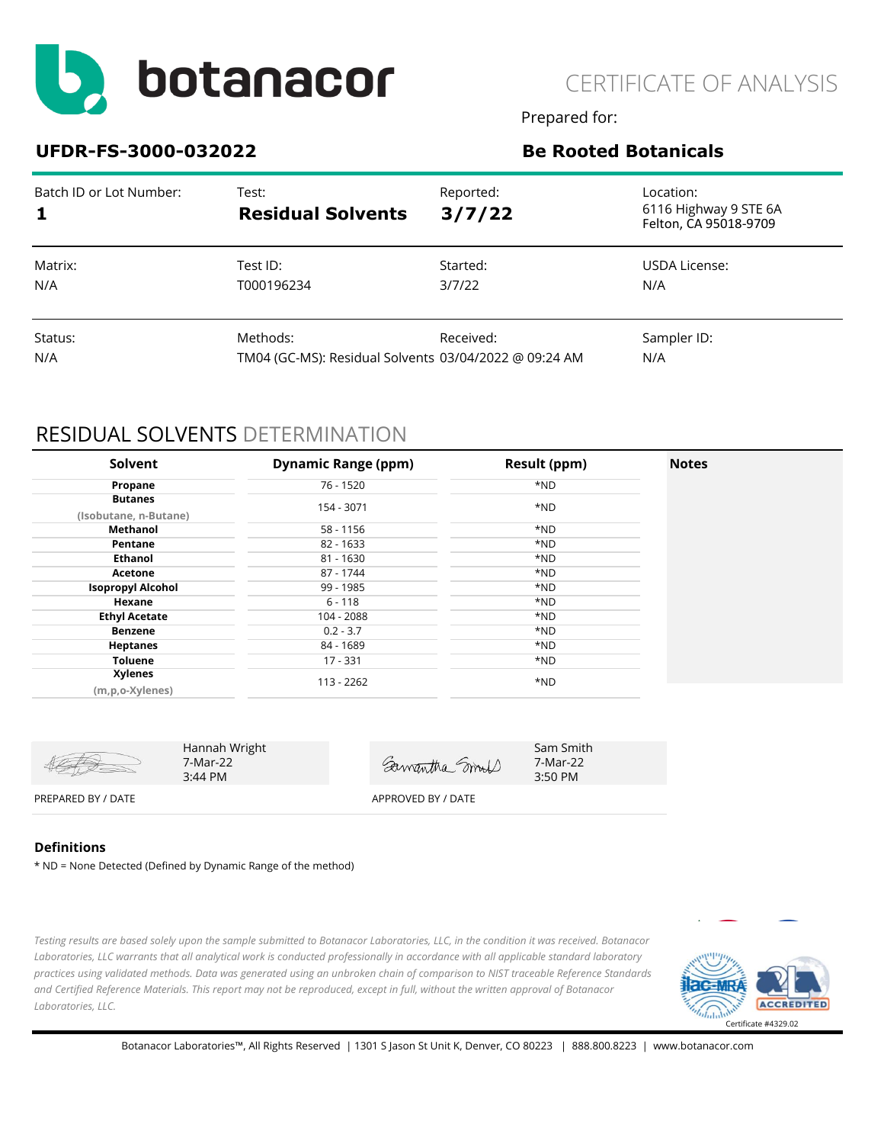

CERTIFICATE OF ANALYSIS

Prepared for:

### **UFDR-FS-3000-032022 Be Rooted Botanicals**

| Batch ID or Lot Number: | Test:<br><b>Residual Solvents</b>                     | Reported:<br>3/7/22 | Location:<br>6116 Highway 9 STE 6A<br>Felton, CA 95018-9709 |
|-------------------------|-------------------------------------------------------|---------------------|-------------------------------------------------------------|
| Matrix:                 | Test ID:                                              | Started:            | USDA License:                                               |
| N/A                     | T000196234                                            | 3/7/22              | N/A                                                         |
| Status:                 | Methods:                                              | Received:           | Sampler ID:                                                 |
| N/A                     | TM04 (GC-MS): Residual Solvents 03/04/2022 @ 09:24 AM |                     | N/A                                                         |

### RESIDUAL SOLVENTS DETERMINATION

| Solvent                  | <b>Dynamic Range (ppm)</b> | Result (ppm) | <b>Notes</b> |
|--------------------------|----------------------------|--------------|--------------|
| Propane                  | 76 - 1520                  | *ND          |              |
| <b>Butanes</b>           |                            |              |              |
| (Isobutane, n-Butane)    | 154 - 3071                 | *ND          |              |
| Methanol                 | 58 - 1156                  | *ND          |              |
| Pentane                  | 82 - 1633                  | *ND          |              |
| <b>Ethanol</b>           | 81 - 1630                  | *ND          |              |
| Acetone                  | 87 - 1744                  | *ND          |              |
| <b>Isopropyl Alcohol</b> | 99 - 1985                  | *ND          |              |
| Hexane                   | $6 - 118$                  | *ND          |              |
| <b>Ethyl Acetate</b>     | 104 - 2088                 | *ND          |              |
| <b>Benzene</b>           | $0.2 - 3.7$                | *ND          |              |
| <b>Heptanes</b>          | 84 - 1689                  | *ND          |              |
| <b>Toluene</b>           | 17 - 331                   | *ND          |              |
| <b>Xylenes</b>           | 113 - 2262                 | *ND          |              |
| (m,p,o-Xylenes)          |                            |              |              |

|                    | Hannah Wright<br>7-Mar-22<br>$3:44 \text{ PM}$ | Samantha mod       | Sam Smith<br>7-Mar-22<br>$3:50$ PM |
|--------------------|------------------------------------------------|--------------------|------------------------------------|
| PREPARED BY / DATE |                                                | APPROVED BY / DATE |                                    |

#### **Definitions**

\* ND = None Detected (Defined by Dynamic Range of the method)

*Testing results are based solely upon the sample submitted to Botanacor Laboratories, LLC, in the condition it was received. Botanacor Laboratories, LLC warrants that all analytical work is conducted professionally in accordance with all applicable standard laboratory practices using validated methods. Data was generated using an unbroken chain of comparison to NIST traceable Reference Standards and Certified Reference Materials. This report may not be reproduced, except in full, without the written approval of Botanacor Laboratories, LLC.* 

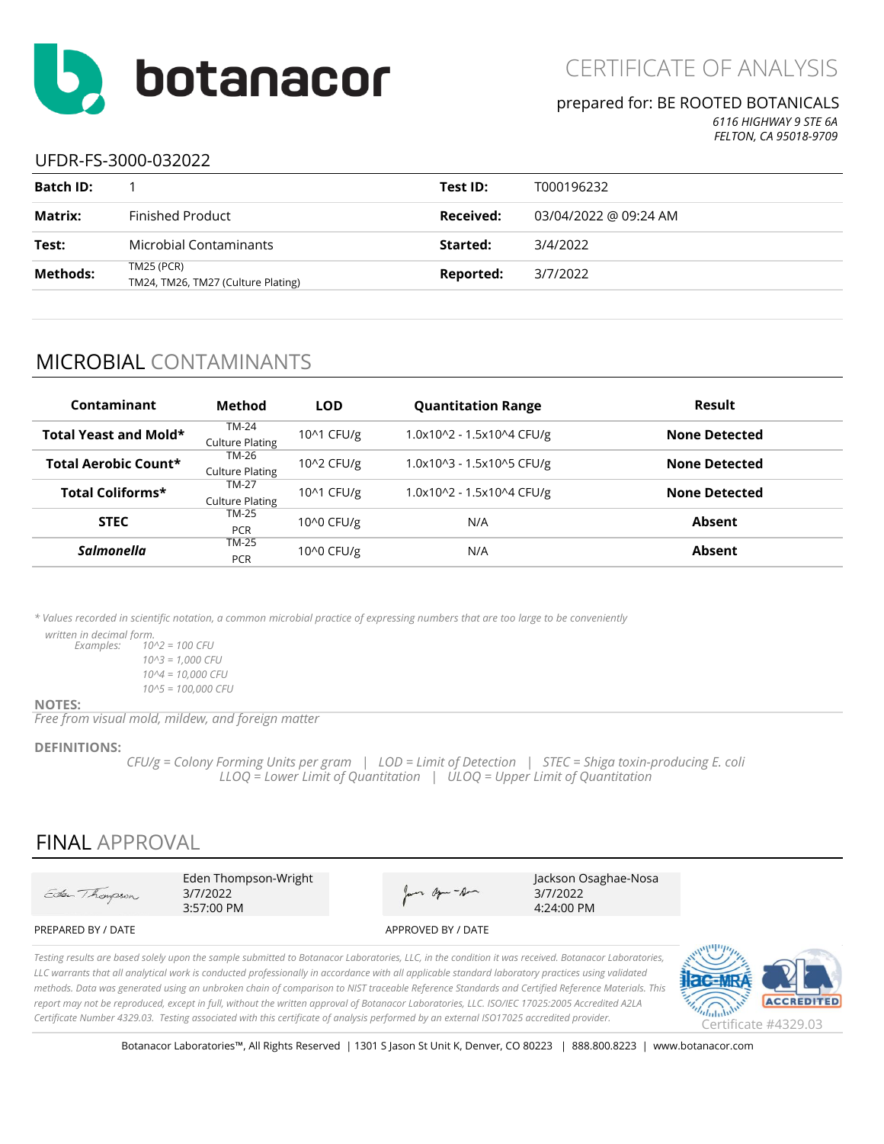

#### prepared for: BE ROOTED BOTANICALS

*6116 HIGHWAY 9 STE 6A FELTON, CA 95018-9709*

### UFDR-FS-3000-032022

| <b>Batch ID:</b> |                                                         | Test ID:  | T000196232            |
|------------------|---------------------------------------------------------|-----------|-----------------------|
| Matrix:          | Finished Product                                        | Received: | 03/04/2022 @ 09:24 AM |
| Test:            | Microbial Contaminants                                  | Started:  | 3/4/2022              |
| <b>Methods:</b>  | <b>TM25 (PCR)</b><br>TM24, TM26, TM27 (Culture Plating) | Reported: | 3/7/2022              |
|                  |                                                         |           |                       |

### MICROBIAL CONTAMINANTS

| Contaminant                  | Method                                 | <b>LOD</b> | <b>Quantitation Range</b> | Result               |
|------------------------------|----------------------------------------|------------|---------------------------|----------------------|
| <b>Total Yeast and Mold*</b> | <b>TM-24</b><br><b>Culture Plating</b> | 10^1 CFU/g | 1.0x10^2 - 1.5x10^4 CFU/g | <b>None Detected</b> |
| Total Aerobic Count*         | TM-26<br><b>Culture Plating</b>        | 10^2 CFU/g | 1.0x10^3 - 1.5x10^5 CFU/g | <b>None Detected</b> |
| <b>Total Coliforms*</b>      | <b>TM-27</b><br><b>Culture Plating</b> | 10^1 CFU/g | 1.0x10^2 - 1.5x10^4 CFU/g | <b>None Detected</b> |
| <b>STEC</b>                  | TM-25<br><b>PCR</b>                    | 10^0 CFU/g | N/A                       | Absent               |
| Salmonella                   | <b>TM-25</b><br><b>PCR</b>             | 10^0 CFU/g | N/A                       | Absent               |

*\* Values recorded in scientific notation, a common microbial practice of expressing numbers that are too large to be conveniently* 

 *written in decimal form.*

*Examples: 10^2 = 100 CFU 10^3 = 1,000 CFU 10^4 = 10,000 CFU 10^5 = 100,000 CFU*

#### **NOTES:**

*Free from visual mold, mildew, and foreign matter*

#### **DEFINITIONS:**

*CFU/g = Colony Forming Units per gram | LOD = Limit of Detection | STEC = Shiga toxin-producing E. coli LLOQ = Lower Limit of Quantitation | ULOQ = Upper Limit of Quantitation*

### FINAL APPROVAL

Eden Thompson-Wright Jackson Osaghae-Nosa Eden Thompson Jan age - Am 3/7/2022 3/7/2022 3:57:00 PM 4:24:00 PMPREPARED BY / DATE APPROVED BY / DATE

*Testing results are based solely upon the sample submitted to Botanacor Laboratories, LLC, in the condition it was received. Botanacor Laboratories, LLC warrants that all analytical work is conducted professionally in accordance with all applicable standard laboratory practices using validated methods. Data was generated using an unbroken chain of comparison to NIST traceable Reference Standards and Certified Reference Materials. This report may not be reproduced, except in full, without the written approval of Botanacor Laboratories, LLC. ISO/IEC 17025:2005 Accredited A2LA Certificate Number 4329.03. Testing associated with this certificate of analysis performed by an external ISO17025 accredited provider.* Certificate #4329.03



Botanacor Laboratories™, All Rights Reserved | 1301 S Jason St Unit K, Denver, CO 80223 | 888.800.8223 | www.botanacor.com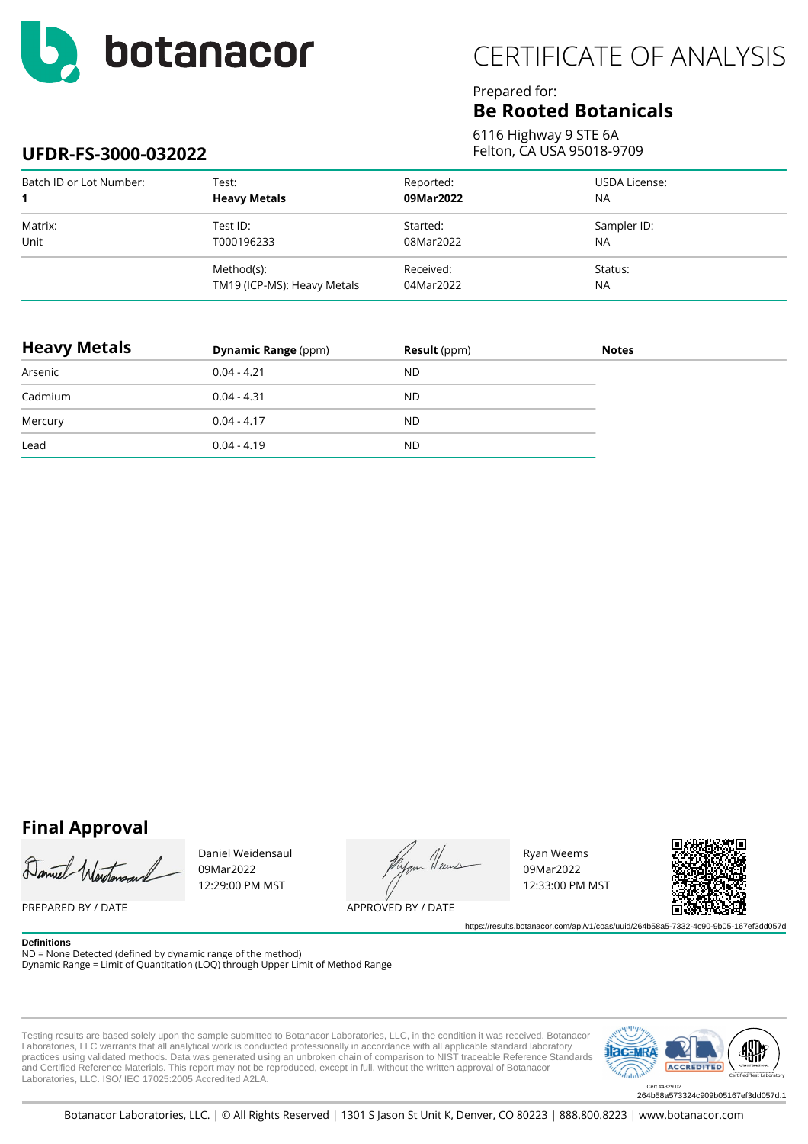

# CERTIFICATE OF ANALYSIS

### Prepared for:

### **Be Rooted Botanicals**

6116 Highway 9 STE 6A Felton, CA USA 95018-9709

### **UFDR-FS-3000-032022**

| Batch ID or Lot Number: | Test:                       | Reported: | USDA License: |
|-------------------------|-----------------------------|-----------|---------------|
| 1                       | <b>Heavy Metals</b>         | 09Mar2022 | <b>NA</b>     |
| Matrix:                 | Test ID:                    | Started:  | Sampler ID:   |
| Unit                    | T000196233                  | 08Mar2022 | <b>NA</b>     |
|                         | Method(s):                  | Received: | Status:       |
|                         | TM19 (ICP-MS): Heavy Metals | 04Mar2022 | <b>NA</b>     |

| <b>Heavy Metals</b> | <b>Dynamic Range (ppm)</b> | <b>Result</b> (ppm) | <b>Notes</b> |
|---------------------|----------------------------|---------------------|--------------|
| Arsenic             | $0.04 - 4.21$              | <b>ND</b>           |              |
| Cadmium             | $0.04 - 4.31$              | <b>ND</b>           |              |
| Mercury             | $0.04 - 4.17$              | <b>ND</b>           |              |
| Lead                | $0.04 - 4.19$              | <b>ND</b>           |              |

### **Final Approval**

Daniel Ward

PREPARED BY / DATE

Daniel Weidensaul 09Mar2022 12:29:00 PM MST

.<br>H.een

APPROVED BY / DATE

Ryan Weems 09Mar2022 12:33:00 PM MST



https://results.botanacor.com/api/v1/coas/uuid/264b58a5-7332-4c90-9b05-167ef3dd057d

**Definitions** ND = None Detected (defined by dynamic range of the method) Dynamic Range = Limit of Quantitation (LOQ) through Upper Limit of Method Range

Testing results are based solely upon the sample submitted to Botanacor Laboratories, LLC, in the condition it was received. Botanacor Laboratories, LLC warrants that all analytical work is conducted professionally in accordance with all applicable standard laboratory<br>practices using validated methods. Data was generated using an unbroken chain of compari and Certified Reference Materials. This report may not be reproduced, except in full, without the written approval of Botanacor Laboratories, LLC. ISO/ IEC 17025:2005 Accredited A2LA.